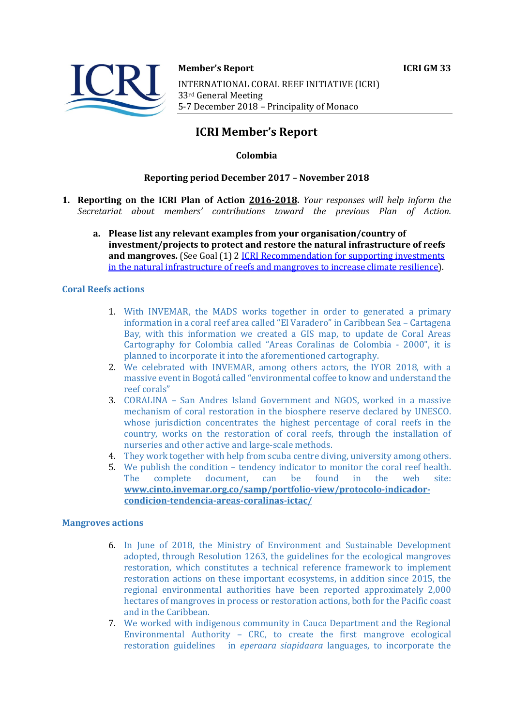

#### **Member's Report ICRI GM 33**

INTERNATIONAL CORAL REEF INITIATIVE (ICRI) 33rd General Meeting 5-7 December 2018 - Principality of Monaco

# **ICRI Member's Report**

# **Colombia**

## **Reporting period December 2017 - November 2018**

- **1. Reporting on the ICRI Plan of Action 2016-2018.** *Your responses will help inform the Secretariat about members' contributions toward the previous Plan of Action.*
	- a. Please list any relevant examples from your organisation/country of **investment/projects to protect and restore the natural infrastructure of reefs and mangroves.** (See Goal (1) 2 ICRI Recommendation for supporting investments in the natural infrastructure of reefs and mangroves to increase climate resilience).

## **Coral Reefs actions**

- 1. With INVEMAR, the MADS works together in order to generated a primary information in a coral reef area called "El Varadero" in Caribbean Sea - Cartagena Bay, with this information we created a GIS map, to update de Coral Areas Cartography for Colombia called "Areas Coralinas de Colombia - 2000", it is planned to incorporate it into the aforementioned cartography.
- 2. We celebrated with INVEMAR, among others actors, the IYOR 2018, with a massive event in Bogotá called "environmental coffee to know and understand the reef corals"
- 3. CORALINA San Andres Island Government and NGOS, worked in a massive mechanism of coral restoration in the biosphere reserve declared by UNESCO. whose jurisdiction concentrates the highest percentage of coral reefs in the country, works on the restoration of coral reefs, through the installation of nurseries and other active and large-scale methods.
- 4. They work together with help from scuba centre diving, university among others.
- 5. We publish the condition tendency indicator to monitor the coral reef health. The complete document, can be found in the web site: **www.cinto.invemar.org.co/samp/portfolio-view/protocolo-indicadorcondicion-tendencia-areas-coralinas-ictac/**

## **Mangroves actions**

- 6. In June of 2018, the Ministry of Environment and Sustainable Development adopted, through Resolution 1263, the guidelines for the ecological mangroves restoration, which constitutes a technical reference framework to implement restoration actions on these important ecosystems, in addition since 2015, the regional environmental authorities have been reported approximately 2,000 hectares of mangroves in process or restoration actions, both for the Pacific coast and in the Caribbean.
- 7. We worked with indigenous community in Cauca Department and the Regional Environmental Authority - CRC, to create the first mangrove ecological restoration guidelines in *eperaara siapidaara* languages, to incorporate the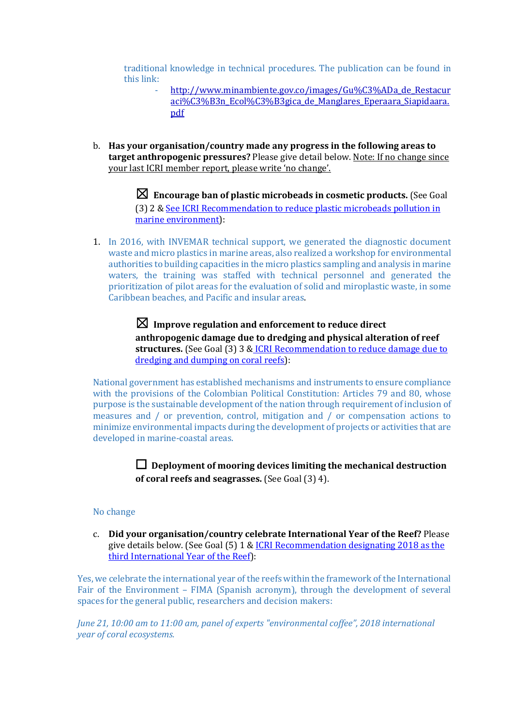traditional knowledge in technical procedures. The publication can be found in this link:

- http://www.minambiente.gov.co/images/Gu%C3%ADa\_de\_Restacur aci%C3%B3n\_Ecol%C3%B3gica\_de\_Manglares\_Eperaara\_Siapidaara. pdf
- b. Has your organisation/country made any progress in the following areas to **target anthropogenic pressures?** Please give detail below. Note: If no change since your last ICRI member report, please write 'no change'.

 $\boxtimes$  Encourage ban of plastic microbeads in cosmetic products. (See Goal (3) 2 & See ICRI Recommendation to reduce plastic microbeads pollution in marine environment):

1. In 2016, with INVEMAR technical support, we generated the diagnostic document waste and micro plastics in marine areas, also realized a workshop for environmental authorities to building capacities in the micro plastics sampling and analysis in marine waters, the training was staffed with technical personnel and generated the prioritization of pilot areas for the evaluation of solid and miroplastic waste, in some Caribbean beaches, and Pacific and insular areas.

> $\boxtimes$  Improve regulation and enforcement to reduce direct anthropogenic damage due to dredging and physical alteration of reef structures. (See Goal (3) 3 & ICRI Recommendation to reduce damage due to dredging and dumping on coral reefs):

National government has established mechanisms and instruments to ensure compliance with the provisions of the Colombian Political Constitution: Articles 79 and 80, whose purpose is the sustainable development of the nation through requirement of inclusion of measures and / or prevention, control, mitigation and / or compensation actions to minimize environmental impacts during the development of projects or activities that are developed in marine-coastal areas.

> $\Box$  Deployment of mooring devices limiting the mechanical destruction **of coral reefs and seagrasses.** (See Goal (3) 4).

## No change

c. **Did your organisation/country celebrate International Year of the Reef?** Please give details below. (See Goal  $(5)$  1 & ICRI Recommendation designating 2018 as the third International Year of the Reef):

Yes, we celebrate the international year of the reefs within the framework of the International Fair of the Environment - FIMA (Spanish acronym), through the development of several spaces for the general public, researchers and decision makers:

*June* 21, 10:00 am to 11:00 am, panel of experts "environmental coffee", 2018 international *year of coral ecosystems.*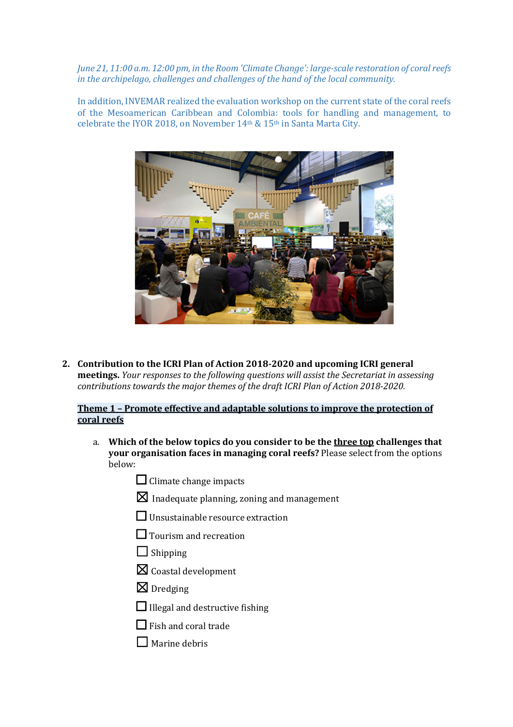*June* 21, 11:00 a.m. 12:00 pm, in the Room 'Climate Change': large-scale restoration of coral reefs *in the archipelago, challenges and challenges of the hand of the local community.* 

In addition, INVEMAR realized the evaluation workshop on the current state of the coral reefs of the Mesoamerican Caribbean and Colombia: tools for handling and management, to celebrate the IYOR 2018, on November  $14<sup>th</sup>$  &  $15<sup>th</sup>$  in Santa Marta City.



2. Contribution to the ICRI Plan of Action 2018-2020 and upcoming ICRI general **meetings.** *Your responses to the following questions will assist the Secretariat in assessing contributions towards the major themes of the draft ICRI Plan of Action 2018-2020.* 

# **Theme 1 - Promote effective and adaptable solutions to improve the protection of coral reefs**

- a. Which of the below topics do you consider to be the three top challenges that **your organisation faces in managing coral reefs?** Please select from the options below:
	- $\Box$  Climate change impacts
	- $\boxtimes$  Inadequate planning, zoning and management
	- $\Box$  Unsustainable resource extraction
	- $\Box$  Tourism and recreation
	- $\Box$  Shipping
	- $\boxtimes$  Coastal development
	- $\n **D**redging\n$
	- $\Box$  Illegal and destructive fishing
	- $\Box$  Fish and coral trade
	- $\Box$  Marine debris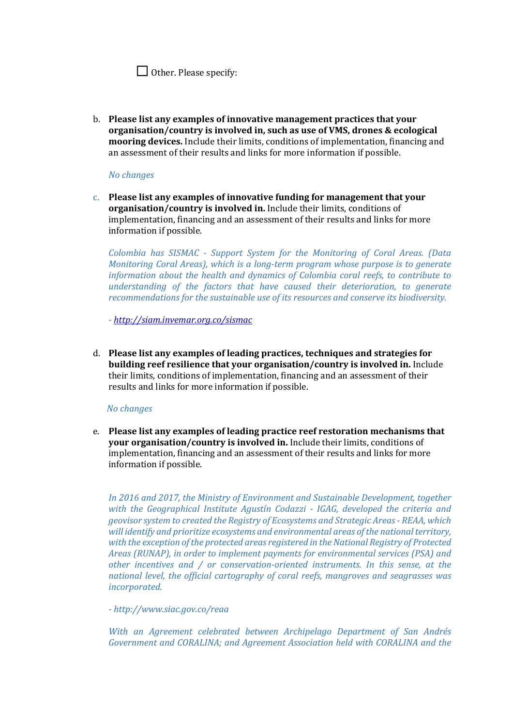|  |  |  | $\Box$ Other. Please specify: |
|--|--|--|-------------------------------|
|--|--|--|-------------------------------|

b. Please list any examples of innovative management practices that your **organisation/country is involved in, such as use of VMS, drones & ecological** mooring devices. Include their limits, conditions of implementation, financing and an assessment of their results and links for more information if possible.

## *No changes*

c. Please list any examples of innovative funding for management that your **organisation/country is involved in.** Include their limits, conditions of implementation, financing and an assessment of their results and links for more information if possible.

*Colombia has SISMAC - Support System for the Monitoring of Coral Areas. (Data Monitoring Coral Areas), which is a long-term program whose purpose is to generate information about the health and dynamics of Colombia coral reefs, to contribute to understanding* of the factors that have caused their deterioration, to generate recommendations for the sustainable use of its resources and conserve its biodiversity.

*- http://siam.invemar.org.co/sismac*

d. Please list any examples of leading practices, techniques and strategies for **building reef resilience that your organisation/country is involved in.** Include their limits, conditions of implementation, financing and an assessment of their results and links for more information if possible.

## *No changes*

e. Please list any examples of leading practice reef restoration mechanisms that **your organisation/country is involved in.** Include their limits, conditions of implementation, financing and an assessment of their results and links for more information if possible.

In 2016 and 2017, the Ministry of Environment and Sustainable Development, together *with the Geographical Institute Agustín Codazzi - IGAG, developed the criteria and geovisor system to created the Registry of Ecosystems and Strategic Areas - REAA, which*  will identify and prioritize ecosystems and environmental areas of the national territory, with the exception of the protected areas registered in the National Registry of Protected *Areas* (RUNAP), in order to implement payments for environmental services (PSA) and *other incentives and / or conservation-oriented instruments. In this sense, at the national level, the official cartography of coral reefs, mangroves and seagrasses was incorporated.*

## *- http://www.siac.gov.co/reaa*

With an Agreement celebrated between Archipelago Department of San Andrés Government and CORALINA; and Agreement Association held with CORALINA and the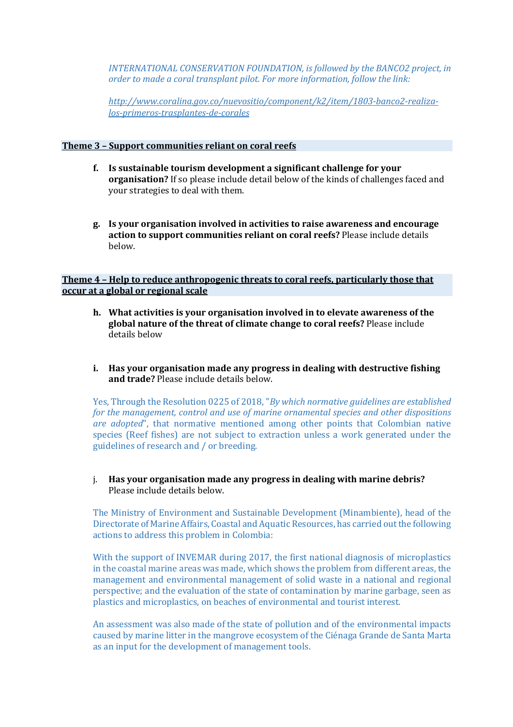*INTERNATIONAL CONSERVATION FOUNDATION, is followed by the BANCO2 project, in order to made a coral transplant pilot. For more information, follow the link:* 

*http://www.coralina.gov.co/nuevositio/component/k2/item/1803-banco2-realizalos-primeros-trasplantes-de-corales*

## **Theme 3 - Support communities reliant on coral reefs**

- **f.** Is sustainable tourism development a significant challenge for your **organisation?** If so please include detail below of the kinds of challenges faced and vour strategies to deal with them.
- **g.** Is your organisation involved in activities to raise awareness and encourage action to support communities reliant on coral reefs? Please include details below.

## **Theme 4 - Help to reduce anthropogenic threats to coral reefs, particularly those that occur at a global or regional scale**

- **h.** What activities is your organisation involved in to elevate awareness of the global nature of the threat of climate change to coral reefs? Please include details below
- **i.** Has your organisation made any progress in dealing with destructive fishing and trade? Please include details below.

Yes, Through the Resolution 0225 of 2018, "*By which normative guidelines are established for the management, control and use of marine ornamental species and other dispositions are* adopted", that normative mentioned among other points that Colombian native species (Reef fishes) are not subject to extraction unless a work generated under the guidelines of research and / or breeding.

## j. Has your organisation made any progress in dealing with marine debris? Please include details below.

The Ministry of Environment and Sustainable Development (Minambiente), head of the Directorate of Marine Affairs, Coastal and Aquatic Resources, has carried out the following actions to address this problem in Colombia:

With the support of INVEMAR during 2017, the first national diagnosis of microplastics in the coastal marine areas was made, which shows the problem from different areas, the management and environmental management of solid waste in a national and regional perspective; and the evaluation of the state of contamination by marine garbage, seen as plastics and microplastics, on beaches of environmental and tourist interest.

An assessment was also made of the state of pollution and of the environmental impacts caused by marine litter in the mangrove ecosystem of the Ciénaga Grande de Santa Marta as an input for the development of management tools.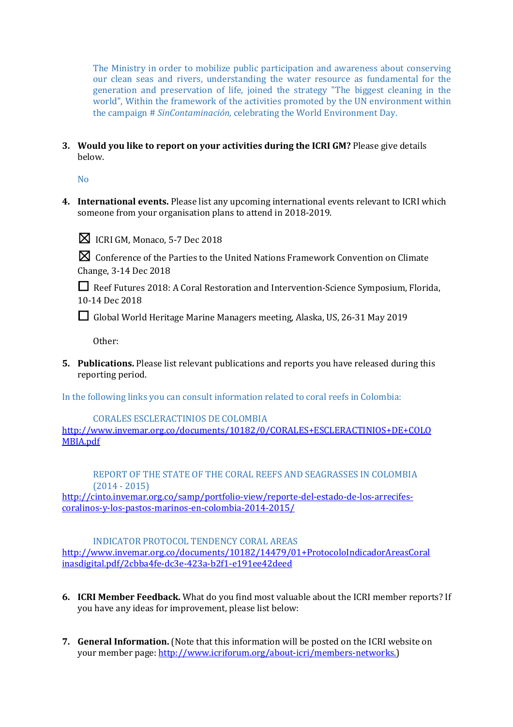The Ministry in order to mobilize public participation and awareness about conserving our clean seas and rivers, understanding the water resource as fundamental for the generation and preservation of life, joined the strategy "The biggest cleaning in the world". Within the framework of the activities promoted by the UN environment within the campaign # *SinContaminación*, celebrating the World Environment Day.

**3.** Would you like to report on your activities during the ICRI GM? Please give details below.

No

4. International events. Please list any upcoming international events relevant to ICRI which someone from your organisation plans to attend in 2018-2019.



 $\boxtimes$  ICRI GM, Monaco, 5-7 Dec 2018

 $\boxtimes$  Conference of the Parties to the United Nations Framework Convention on Climate Change, 3-14 Dec 2018

**□** Reef Futures 2018: A Coral Restoration and Intervention-Science Symposium, Florida, 10-14 Dec 2018

□ Global World Heritage Marine Managers meeting, Alaska, US, 26-31 May 2019

Other: 

**5.** Publications. Please list relevant publications and reports you have released during this reporting period.

In the following links you can consult information related to coral reefs in Colombia:

CORALES ESCLERACTINIOS DE COLOMBIA http://www.invemar.org.co/documents/10182/0/CORALES+ESCLERACTINIOS+DE+COLO MBIA.pdf

REPORT OF THE STATE OF THE CORAL REEFS AND SEAGRASSES IN COLOMBIA  $(2014 - 2015)$ 

http://cinto.invemar.org.co/samp/portfolio-view/reporte-del-estado-de-los-arrecifescoralinos-y-los-pastos-marinos-en-colombia-2014-2015/

INDICATOR PROTOCOL TENDENCY CORAL AREAS http://www.invemar.org.co/documents/10182/14479/01+ProtocoloIndicadorAreasCoral inasdigital.pdf/2cbba4fe-dc3e-423a-b2f1-e191ee42deed

- **6. ICRI Member Feedback.** What do you find most valuable about the ICRI member reports? If you have any ideas for improvement, please list below:
- **7. General Information.** (Note that this information will be posted on the ICRI website on your member page: http://www.icriforum.org/about-icri/members-networks.)